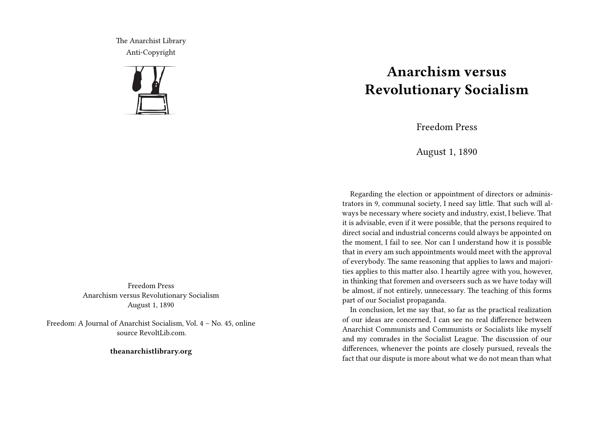The Anarchist Library Anti-Copyright



Freedom Press Anarchism versus Revolutionary Socialism August 1, 1890

Freedom: A Journal of Anarchist Socialism, Vol. 4 – No. 45, online source RevoltLib.com.

**theanarchistlibrary.org**

## **Anarchism versus Revolutionary Socialism**

Freedom Press

August 1, 1890

Regarding the election or appointment of directors or administrators in 9, communal society, I need say little. That such will always be necessary where society and industry, exist, I believe. That it is advisable, even if it were possible, that the persons required to direct social and industrial concerns could always be appointed on the moment, I fail to see. Nor can I understand how it is possible that in every am such appointments would meet with the approval of everybody. The same reasoning that applies to laws and majorities applies to this matter also. I heartily agree with you, however, in thinking that foremen and overseers such as we have today will be almost, if not entirely, unnecessary. The teaching of this forms part of our Socialist propaganda.

In conclusion, let me say that, so far as the practical realization of our ideas are concerned, I can see no real difference between Anarchist Communists and Communists or Socialists like myself and my comrades in the Socialist League. The discussion of our differences, whenever the points are closely pursued, reveals the fact that our dispute is more about what we do not mean than what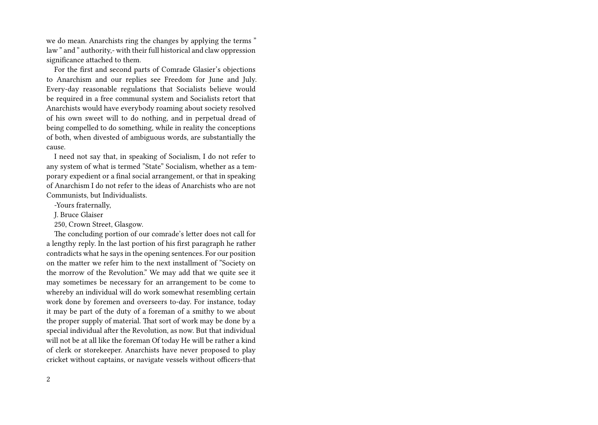we do mean. Anarchists ring the changes by applying the terms " law " and " authority,- with their full historical and claw oppression significance attached to them.

For the first and second parts of Comrade Glasier's objections to Anarchism and our replies see Freedom for June and July. Every-day reasonable regulations that Socialists believe would be required in a free communal system and Socialists retort that Anarchists would have everybody roaming about society resolved of his own sweet will to do nothing, and in perpetual dread of being compelled to do something, while in reality the conceptions of both, when divested of ambiguous words, are substantially the cause.

I need not say that, in speaking of Socialism, I do not refer to any system of what is termed "State" Socialism, whether as a temporary expedient or a final social arrangement, or that in speaking of Anarchism I do not refer to the ideas of Anarchists who are not Communists, but Individualists.

-Yours fraternally,

J. Bruce Glaiser

250, Crown Street, Glasgow.

The concluding portion of our comrade's letter does not call for a lengthy reply. In the last portion of his first paragraph he rather contradicts what he says in the opening sentences. For our position on the matter we refer him to the next installment of "Society on the morrow of the Revolution." We may add that we quite see it may sometimes be necessary for an arrangement to be come to whereby an individual will do work somewhat resembling certain work done by foremen and overseers to-day. For instance, today it may be part of the duty of a foreman of a smithy to we about the proper supply of material. That sort of work may be done by a special individual after the Revolution, as now. But that individual will not be at all like the foreman Of today He will be rather a kind of clerk or storekeeper. Anarchists have never proposed to play cricket without captains, or navigate vessels without officers-that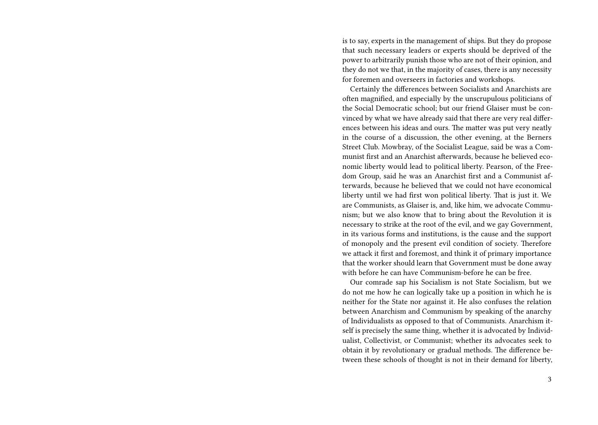is to say, experts in the management of ships. But they do propose that such necessary leaders or experts should be deprived of the power to arbitrarily punish those who are not of their opinion, and they do not we that, in the majority of cases, there is any necessity for foremen and overseers in factories and workshops.

Certainly the differences between Socialists and Anarchists are often magnified, and especially by the unscrupulous politicians of the Social Democratic school; but our friend Glaiser must be convinced by what we have already said that there are very real differences between his ideas and ours. The matter was put very neatly in the course of a discussion, the other evening, at the Berners Street Club. Mowbray, of the Socialist League, said be was a Communist first and an Anarchist afterwards, because he believed economic liberty would lead to political liberty. Pearson, of the Freedom Group, said he was an Anarchist first and a Communist afterwards, because he believed that we could not have economical liberty until we had first won political liberty. That is just it. We are Communists, as Glaiser is, and, like him, we advocate Communism; but we also know that to bring about the Revolution it is necessary to strike at the root of the evil, and we gay Government, in its various forms and institutions, is the cause and the support of monopoly and the present evil condition of society. Therefore we attack it first and foremost, and think it of primary importance that the worker should learn that Government must be done away with before he can have Communism-before he can be free.

Our comrade sap his Socialism is not State Socialism, but we do not me how he can logically take up a position in which he is neither for the State nor against it. He also confuses the relation between Anarchism and Communism by speaking of the anarchy of Individualists as opposed to that of Communists. Anarchism itself is precisely the same thing, whether it is advocated by Individualist, Collectivist, or Communist; whether its advocates seek to obtain it by revolutionary or gradual methods. The difference between these schools of thought is not in their demand for liberty,